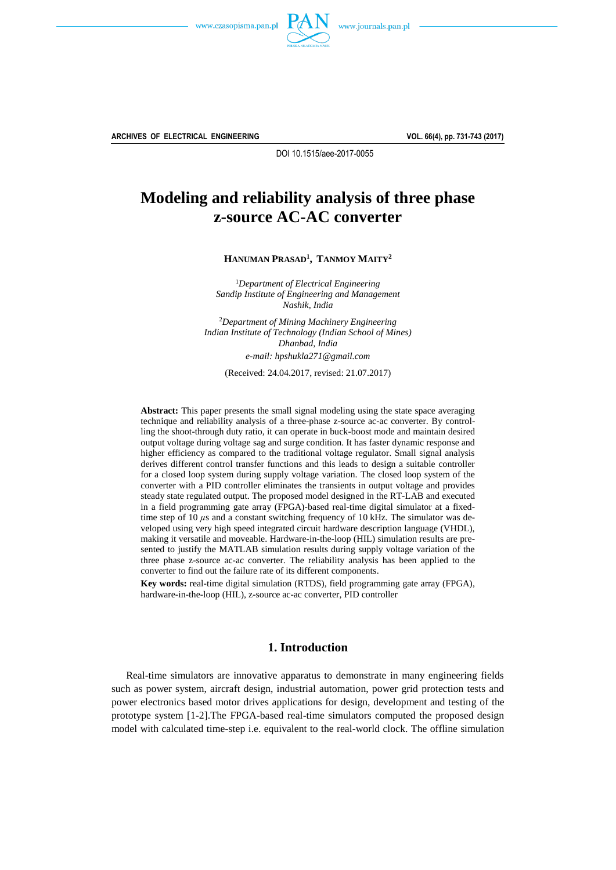



**ARCHIVES OF ELECTRICAL ENGINEERING VOL. 66(4), pp. 731-743 (2017)**

DOI 10.1515/aee-2017-0055

# **Modeling and reliability analysis of three phase z-source AC-AC converter**

**HANUMAN PRASAD<sup>1</sup> , TANMOY MAITY<sup>2</sup>**

<sup>1</sup>*Department of Electrical Engineering Sandip Institute of Engineering and Management Nashik, India*

<sup>2</sup>*Department of Mining Machinery Engineering Indian Institute of Technology (Indian School of Mines) Dhanbad, India e-mail: [hpshukla271@gmail.com](mailto:hpshukla271@gmail.com?Subject=AEE-00464-2017-02)*

(Received: 24.04.2017, revised: 21.07.2017)

**Abstract:** This paper presents the small signal modeling using the state space averaging technique and reliability analysis of a three-phase z-source ac-ac converter. By controlling the shoot-through duty ratio, it can operate in buck-boost mode and maintain desired output voltage during voltage sag and surge condition. It has faster dynamic response and higher efficiency as compared to the traditional voltage regulator. Small signal analysis derives different control transfer functions and this leads to design a suitable controller for a closed loop system during supply voltage variation. The closed loop system of the converter with a PID controller eliminates the transients in output voltage and provides steady state regulated output. The proposed model designed in the RT-LAB and executed in a field programming gate array (FPGA)-based real-time digital simulator at a fixedtime step of 10  $\mu$ s and a constant switching frequency of 10 kHz. The simulator was developed using very high speed integrated circuit hardware description language (VHDL), making it versatile and moveable. Hardware-in-the-loop (HIL) simulation results are presented to justify the MATLAB simulation results during supply voltage variation of the three phase z-source ac-ac converter. The reliability analysis has been applied to the converter to find out the failure rate of its different components.

**Key words:** real-time digital simulation (RTDS), field programming gate array (FPGA), hardware-in-the-loop (HIL), z-source ac-ac converter, PID controller

### **1. Introduction**

Real-time simulators are innovative apparatus to demonstrate in many engineering fields such as power system, aircraft design, industrial automation, power grid protection tests and power electronics based motor drives applications for design, development and testing of the prototype system [1-2]. The FPGA-based real-time simulators computed the proposed design model with calculated time-step i.e. equivalent to the real-world clock. The offline simulation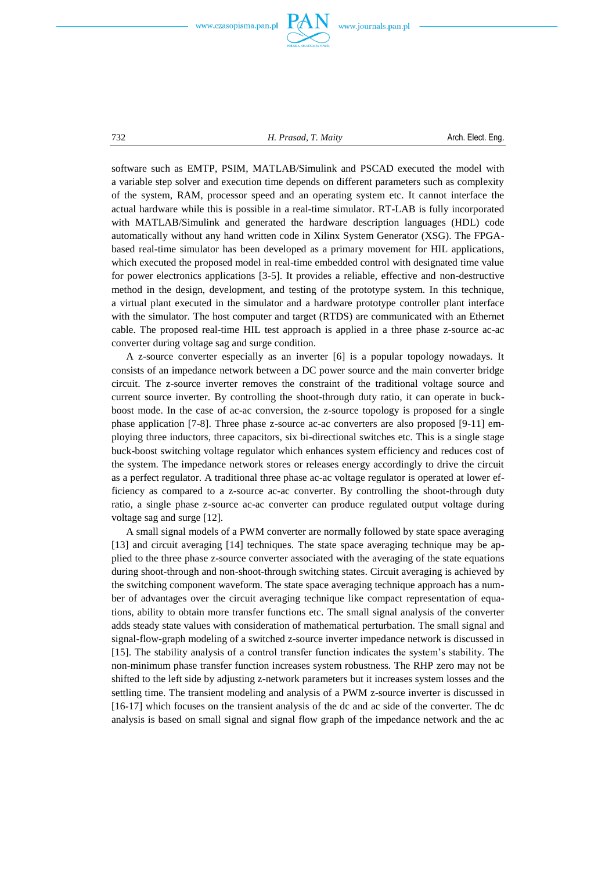



732 *H. Prasad, T. Maity* Arch. Elect. Eng.

software such as EMTP, PSIM, MATLAB/Simulink and PSCAD executed the model with a variable step solver and execution time depends on different parameters such as complexity of the system, RAM, processor speed and an operating system etc. It cannot interface the actual hardware while this is possible in a real-time simulator. RT-LAB is fully incorporated with MATLAB/Simulink and generated the hardware description languages (HDL) code automatically without any hand written code in Xilinx System Generator (XSG). The FPGAbased real-time simulator has been developed as a primary movement for HIL applications, which executed the proposed model in real-time embedded control with designated time value for power electronics applications [35]. It provides a reliable, effective and non-destructive method in the design, development, and testing of the prototype system. In this technique, a virtual plant executed in the simulator and a hardware prototype controller plant interface with the simulator. The host computer and target (RTDS) are communicated with an Ethernet cable. The proposed real-time HIL test approach is applied in a three phase z-source ac-ac converter during voltage sag and surge condition.

A z-source converter especially as an inverter [6] is a popular topology nowadays. It consists of an impedance network between a DC power source and the main converter bridge circuit. The z-source inverter removes the constraint of the traditional voltage source and current source inverter. By controlling the shoot-through duty ratio, it can operate in buckboost mode. In the case of ac-ac conversion, the z-source topology is proposed for a single phase application [7-8]. Three phase z-source ac-ac converters are also proposed [9-11] employing three inductors, three capacitors, six bi-directional switches etc. This is a single stage buck-boost switching voltage regulator which enhances system efficiency and reduces cost of the system. The impedance network stores or releases energy accordingly to drive the circuit as a perfect regulator. A traditional three phase ac-ac voltage regulator is operated at lower efficiency as compared to a z-source ac-ac converter. By controlling the shoot-through duty ratio, a single phase z-source ac-ac converter can produce regulated output voltage during voltage sag and surge [12].

A small signal models of a PWM converter are normally followed by state space averaging [13] and circuit averaging [14] techniques. The state space averaging technique may be applied to the three phase z-source converter associated with the averaging of the state equations during shoot-through and non-shoot-through switching states. Circuit averaging is achieved by the switching component waveform. The state space averaging technique approach has a number of advantages over the circuit averaging technique like compact representation of equations, ability to obtain more transfer functions etc. The small signal analysis of the converter adds steady state values with consideration of mathematical perturbation. The small signal and signal-flow-graph modeling of a switched z-source inverter impedance network is discussed in [15]. The stability analysis of a control transfer function indicates the system's stability. The non-minimum phase transfer function increases system robustness. The RHP zero may not be shifted to the left side by adjusting z-network parameters but it increases system losses and the settling time. The transient modeling and analysis of a PWM z-source inverter is discussed in [1617] which focuses on the transient analysis of the dc and ac side of the converter. The dc analysis is based on small signal and signal flow graph of the impedance network and the ac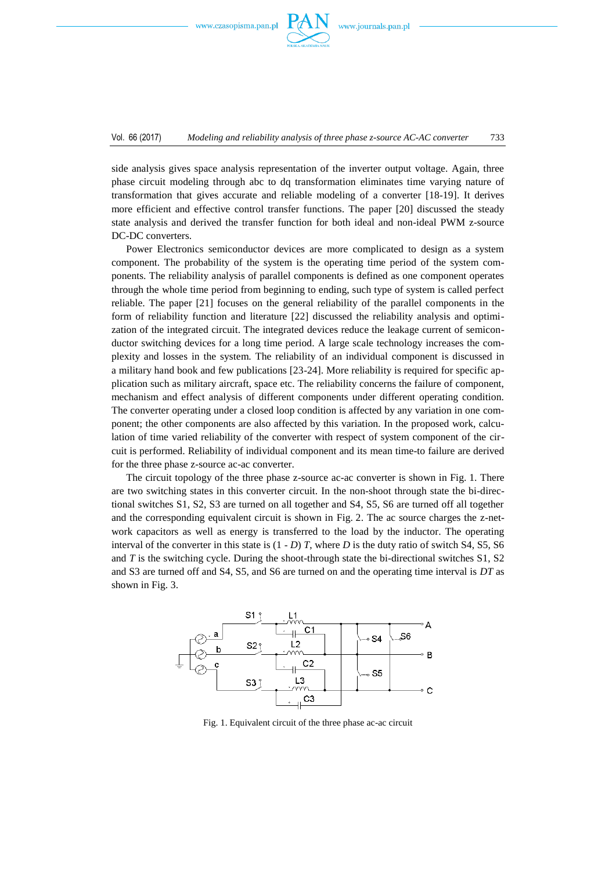

side analysis gives space analysis representation of the inverter output voltage. Again, three phase circuit modeling through abc to dq transformation eliminates time varying nature of transformation that gives accurate and reliable modeling of a converter [18-19]. It derives more efficient and effective control transfer functions. The paper [20] discussed the steady state analysis and derived the transfer function for both ideal and non-ideal PWM z-source DC-DC converters.

Power Electronics semiconductor devices are more complicated to design as a system component. The probability of the system is the operating time period of the system components. The reliability analysis of parallel components is defined as one component operates through the whole time period from beginning to ending, such type of system is called perfect reliable. The paper [21] focuses on the general reliability of the parallel components in the form of reliability function and literature [22] discussed the reliability analysis and optimization of the integrated circuit. The integrated devices reduce the leakage current of semiconductor switching devices for a long time period. A large scale technology increases the complexity and losses in the system. The reliability of an individual component is discussed in a military hand book and few publications [23-24]. More reliability is required for specific application such as military aircraft, space etc. The reliability concerns the failure of component, mechanism and effect analysis of different components under different operating condition. The converter operating under a closed loop condition is affected by any variation in one component; the other components are also affected by this variation. In the proposed work, calculation of time varied reliability of the converter with respect of system component of the circuit is performed. Reliability of individual component and its mean time-to failure are derived for the three phase z-source ac-ac converter.

The circuit topology of the three phase z-source ac-ac converter is shown in Fig. 1. There are two switching states in this converter circuit. In the non-shoot through state the bi-directional switches S1, S2, S3 are turned on all together and S4, S5, S6 are turned off all together and the corresponding equivalent circuit is shown in Fig. 2. The ac source charges the z-network capacitors as well as energy is transferred to the load by the inductor. The operating interval of the converter in this state is  $(1 - D)$  *T*, where *D* is the duty ratio of switch S4, S5, S6 and  $T$  is the switching cycle. During the shoot-through state the bi-directional switches  $S1$ ,  $S2$ and S3 are turned off and S4, S5, and S6 are turned on and the operating time interval is *DT* as shown in Fig. 3.



Fig. 1. Equivalent circuit of the three phase ac-ac circuit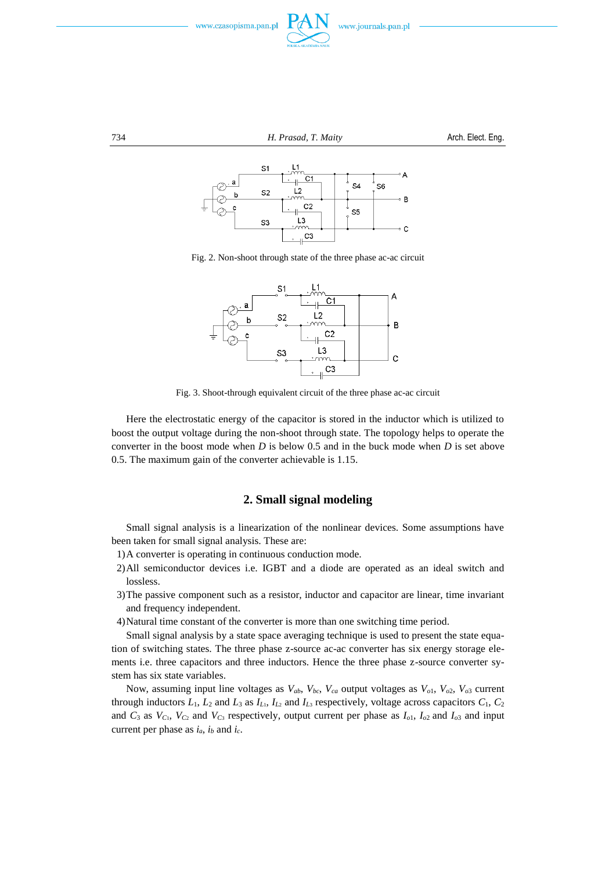



734 *H. Prasad, T. Maity* Arch. Elect. Eng.



Fig. 2. Non-shoot through state of the three phase ac-ac circuit



Fig. 3. Shoot-through equivalent circuit of the three phase ac-ac circuit

Here the electrostatic energy of the capacitor is stored in the inductor which is utilized to boost the output voltage during the non-shoot through state. The topology helps to operate the converter in the boost mode when *D* is below 0.5 and in the buck mode when *D* is set above 0.5. The maximum gain of the converter achievable is 1.15.

## **2. Small signal modeling**

Small signal analysis is a linearization of the nonlinear devices. Some assumptions have been taken for small signal analysis. These are:

- 1)A converter is operating in continuous conduction mode.
- 2)All semiconductor devices i.e. IGBT and a diode are operated as an ideal switch and lossless.
- 3)The passive component such as a resistor, inductor and capacitor are linear, time invariant and frequency independent.
- 4)Natural time constant of the converter is more than one switching time period.

Small signal analysis by a state space averaging technique is used to present the state equation of switching states. The three phase z-source ac-ac converter has six energy storage elements i.e. three capacitors and three inductors. Hence the three phase z-source converter system has six state variables.

Now, assuming input line voltages as  $V_{ab}$ ,  $V_{bc}$ ,  $V_{ca}$  output voltages as  $V_{o1}$ ,  $V_{o2}$ ,  $V_{o3}$  current through inductors  $L_1$ ,  $L_2$  and  $L_3$  as  $I_{L_1}$ ,  $I_{L_2}$  and  $I_{L_3}$  respectively, voltage across capacitors  $C_1$ ,  $C_2$ and  $C_3$  as  $V_{C_1}$ ,  $V_{C_2}$  and  $V_{C_3}$  respectively, output current per phase as  $I_{o1}$ ,  $I_{o2}$  and  $I_{o3}$  and input current per phase as  $i_a$ ,  $i_b$  and  $i_c$ .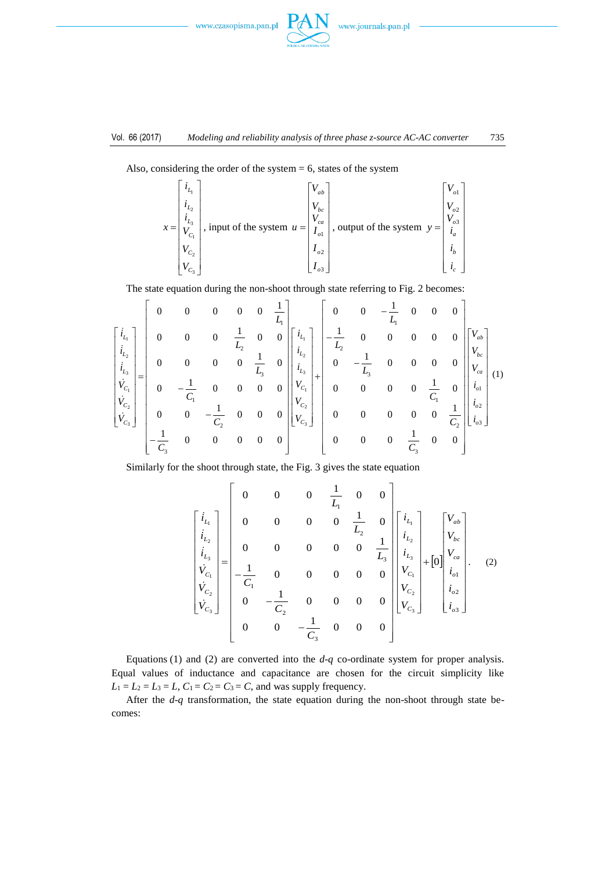



Also, considering the order of the system  $= 6$ , states of the system

$$
x = \begin{bmatrix} i_{L_1} \\ i_{L_2} \\ i_{L_3} \\ V_{C_1} \\ V_{C_2} \\ V_{C_3} \end{bmatrix}
$$
, input of the system  $u = \begin{bmatrix} V_{ab} \\ V_{bc} \\ V_{ca} \\ I_{o1} \\ I_{o2} \\ I_{o3} \end{bmatrix}$ , output of the system  $y = \begin{bmatrix} V_{ab} \\ V_{ba} \\ V_{ba} \\ i_a \\ i_b \\ i_c \end{bmatrix}$ 

The state equation during the non-shoot through state referring to Fig. 2 becomes:

$$
\begin{bmatrix}\ni_{L_1} \\
i_{L_2} \\
i_{L_3} \\
i_{L_4} \\
i_{L_5} \\
i_{L_6} \\
i_{L_7} \\
i_{L_8}\n\end{bmatrix} = \begin{bmatrix}\n0 & 0 & 0 & 0 & 0 & \frac{1}{L_1} \\
0 & 0 & 0 & \frac{1}{L_2} & 0 & 0 \\
0 & 0 & 0 & \frac{1}{L_3} & 0 & 0 \\
0 & 0 & 0 & 0 & \frac{1}{L_3} & 0 \\
0 & -\frac{1}{C_1} & 0 & 0 & 0 & 0 \\
0 & 0 & -\frac{1}{C_2} & 0 & 0 & 0\n\end{bmatrix} \begin{bmatrix}\ni_{L_1} \\
i_{L_2} \\
i_{L_3} \\
i_{L_4} \\
i_{L_5} \\
i_{L_6}\n\end{bmatrix} + \begin{bmatrix}\n0 & 0 & -\frac{1}{L_1} & 0 & 0 & 0 & 0 \\
0 & -\frac{1}{L_3} & 0 & 0 & 0 & 0 \\
0 & 0 & 0 & 0 & \frac{1}{C_1} & 0 \\
0 & 0 & 0 & 0 & \frac{1}{C_1} & 0 \\
0 & 0 & 0 & 0 & \frac{1}{C_2} & \frac{1}{C_2} \\
0 & 0 & 0 & 0 & \frac{1}{C_3} & 0\n\end{bmatrix} \begin{bmatrix}\nv_{L_1} \\
i_{L_2} \\
i_{L_3} \\
i_{L_4} \\
i_{L_5} \\
i_{L_6}\n\end{bmatrix}
$$

Similarly for the shoot through state, the Fig. 3 gives the state equation

$$
\begin{bmatrix}\ni_{L_1} \\
i_{L_2} \\
i_{L_3} \\
i_{L_4} \\
i_{L_5} \\
i_{C_6}\n\end{bmatrix} =\n\begin{bmatrix}\n0 & 0 & 0 & \frac{1}{L_1} & 0 & 0 \\
0 & 0 & 0 & 0 & \frac{1}{L_2} & 0 \\
0 & 0 & 0 & 0 & 0 & \frac{1}{L_3} \\
-\frac{1}{C_1} & 0 & 0 & 0 & 0 & 0 \\
0 & -\frac{1}{C_2} & 0 & 0 & 0 & 0 \\
0 & 0 & -\frac{1}{C_3} & 0 & 0 & 0\n\end{bmatrix}\n\begin{bmatrix}\ni_{L_1} \\
i_{L_2} \\
i_{L_3} \\
i_{C_1} \\
i_{C_2} \\
i_{C_3}\n\end{bmatrix} +\n\begin{bmatrix}\nV_{ab} \\
V_{bc} \\
i_{C_1} \\
i_{C_2} \\
i_{C_3}\n\end{bmatrix}.
$$
\n(2)

Equations (1) and (2) are converted into the *d*-*q* co-ordinate system for proper analysis. Equal values of inductance and capacitance are chosen for the circuit simplicity like  $L_1 = L_2 = L_3 = L$ ,  $C_1 = C_2 = C_3 = C$ , and was supply frequency.

After the *d*-*q* transformation, the state equation during the non-shoot through state becomes: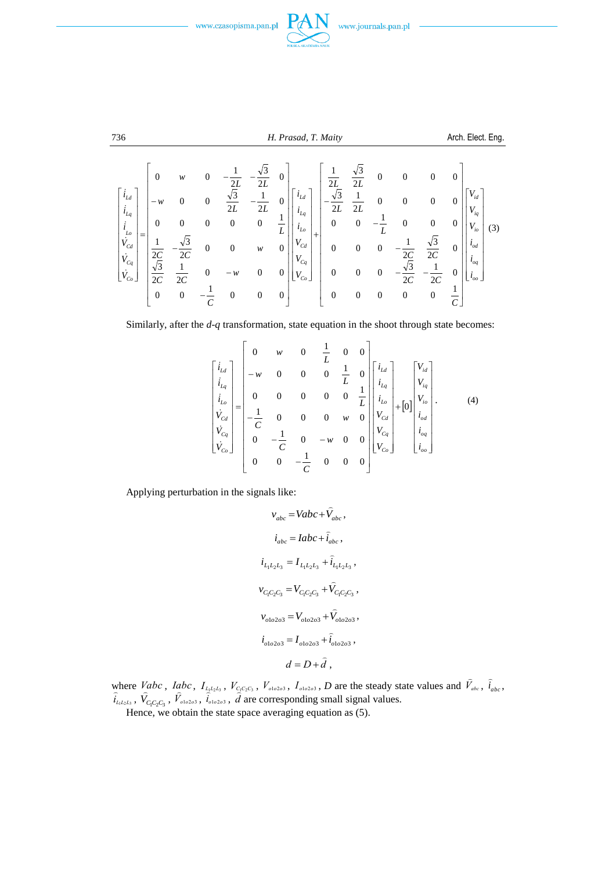





$$
\begin{bmatrix}\ni_{Ld} \\
i_{Ld} \\
i_{Lq} \\
i_{Lq} \\
i_{Cd} \\
i_{Cc_{o}}\n\end{bmatrix}\n\begin{bmatrix}\n0 & w & 0 & -\frac{1}{2L} & -\frac{\sqrt{3}}{2L} & 0 \\
-w & 0 & 0 & \frac{\sqrt{3}}{2L} & -\frac{1}{2L} & 0 \\
0 & 0 & 0 & 0 & 0 & \frac{1}{L} \\
\frac{1}{2C} & -\frac{\sqrt{3}}{2C} & 0 & 0 & w & 0 \\
0 & 0 & -w & 0 & 0 & 0 \\
0 & 0 & -w & 0 & 0 & 0\n\end{bmatrix}\n\begin{bmatrix}\ni_{Ld} \\
i_{Ld} \\
i_{Ls} \\
i_{Ls} \\
i_{Cd} \\
i_{Cd} \\
i_{Cc_{o}}\n\end{bmatrix} + \n\begin{bmatrix}\n\frac{1}{2L} & \frac{\sqrt{3}}{2L} & 0 & 0 & 0 & 0 \\
-\frac{\sqrt{3}}{2L} & \frac{1}{2L} & 0 & 0 & 0 & 0 \\
0 & 0 & -\frac{1}{L} & 0 & 0 & 0 \\
0 & 0 & 0 & -\frac{1}{2C} & \frac{\sqrt{3}}{2C} & 0 \\
0 & 0 & 0 & -\frac{\sqrt{3}}{2C} & -\frac{1}{2C} & 0 \\
0 & 0 & 0 & 0 & \frac{\sqrt{3}}{2C} & -\frac{1}{2C} & 0 \\
0 & 0 & 0 & 0 & 0 & \frac{1}{C}\n\end{bmatrix}\n\begin{bmatrix}\nv_{ld} \\
i_{Ld} \\
i_{Ld} \\
i_{Q} \\
i_{Q} \\
i_{Q}\n\end{bmatrix}
$$

Similarly, after the *d*-*q* transformation, state equation in the shoot through state becomes:

$$
\begin{bmatrix} i_{Ld} \\ i_{Lq} \\ i_{Lq} \\ i_{Lq} \\ \dot{V}_{Cd} \\ \dot{V}_{Cq} \\ \dot{V}_{Cq} \\ \dot{V}_{Cq} \\ 0 & 0 & -\frac{1}{C} & 0 & 0 & 0 \end{bmatrix} \begin{bmatrix} 1 & 0 & 0 \\ 1 & 0 & 0 \\ 0 & 0 & 0 & 0 \\ 0 & 0 & 0 & 0 \\ 0 & 0 & 0 & 0 \\ 0 & 0 & 0 & 0 \\ 0 & 0 & 0 & 0 \end{bmatrix} \begin{bmatrix} i_{Ld} \\ i_{Lq} \\ i_{Lq} \\ i_{Lq} \\ V_{Cd} \\ V_{Cd} \\ V_{Cq} \\ V_{Cq} \\ V_{Cq} \\ V_{Cq} \\ V_{Cq} \\ V_{Cq} \\ V_{Cq} \\ V_{Cq} \\ V_{cq} \\ V_{cq} \\ V_{cq} \\ V_{cq} \\ V_{cq} \\ V_{cq} \\ V_{cq} \\ V_{cq} \\ V_{cq} \\ V_{cq} \\ V_{cq} \\ V_{cq} \\ V_{cq} \\ V_{cq} \\ V_{cq} \\ V_{cq} \\ V_{cq} \\ V_{cq} \\ V_{cq} \\ V_{cq} \\ V_{cq} \\ V_{cq} \\ V_{cq} \\ V_{cq} \\ V_{cq} \\ V_{cq} \\ V_{cq} \\ V_{cq} \\ V_{cq} \\ V_{cq} \\ V_{cq} \\ V_{cq} \\ V_{cq} \\ V_{cq} \\ V_{cq} \\ V_{cq} \\ V_{cq} \\ V_{cq} \\ V_{cq} \\ V_{cq} \\ V_{cq} \\ V_{cq} \\ V_{cq} \\ V_{cq} \\ V_{cq} \\ V_{cq} \\ V_{cq} \\ V_{cq} \\ V_{cq} \\ V_{cq} \\ V_{cq} \\ V_{cq} \\ V_{cq} \\ V_{cq} \\ V_{cq} \\ V_{cq} \\ V_{cq} \\ V_{cq} \\ V_{cq} \\ V_{cq} \\ V_{cq} \\ V_{cq} \\ V_{cq} \\ V_{cq} \\ V_{cq} \\ V_{cq} \\ V_{cq} \\ V_{cq} \\ V_{cq} \\ V_{cq} \\ V_{cq} \\ V_{cq} \\ V_{cq} \\ V_{cq} \\ V_{cq} \\ V_{cq} \\ V_{cq} \\ V_{cq} \\ V_{cq} \\ V_{cq} \\ V_{cq} \\
$$

Applying perturbation in the signals like:

$$
v_{abc} = Vabc + \hat{V}_{abc},
$$
  
\n
$$
i_{abc} = Iabc + \hat{i}_{abc},
$$
  
\n
$$
i_{L_1L_2L_3} = I_{L_1L_2L_3} + \hat{i}_{L_1L_2L_3},
$$
  
\n
$$
v_{C_1C_2C_3} = V_{C_1C_2C_3} + \hat{V}_{C_1C_2C_3},
$$
  
\n
$$
v_{olo2o3} = V_{olo2o3} + \hat{V}_{olo2o3},
$$
  
\n
$$
i_{olo2o3} = I_{olo2o3} + \hat{i}_{olo2o3},
$$
  
\n
$$
d = D + \hat{d},
$$

where *Vabc*, *Iabc*,  $I_{L_1L_2L_3}$ ,  $V_{C_1C_2C_3}$ ,  $V_{o1o2o3}$ ,  $I_{o1o2o3}$ , *D* are the steady state values and  $\hat{V}_{abc}$  $, \hat{i}_{abc},$ where  $, V_{C_1C_2C_3}$  $\tilde{=}$  $,\hat{V}_{\text{ol}}\text{,}$  $\frac{I_{L_1L_2L_3}}{\hat{i}_{o1o2o3}}, \frac{V_{C_1}}{\hat{d}}$  $\frac{c_1}{c_2}$ are corresponding small signal values.

Hence, we obtain the state space averaging equation as (5).

736 *H. Prasad, T. Maity* Arch. Elect. Eng. L.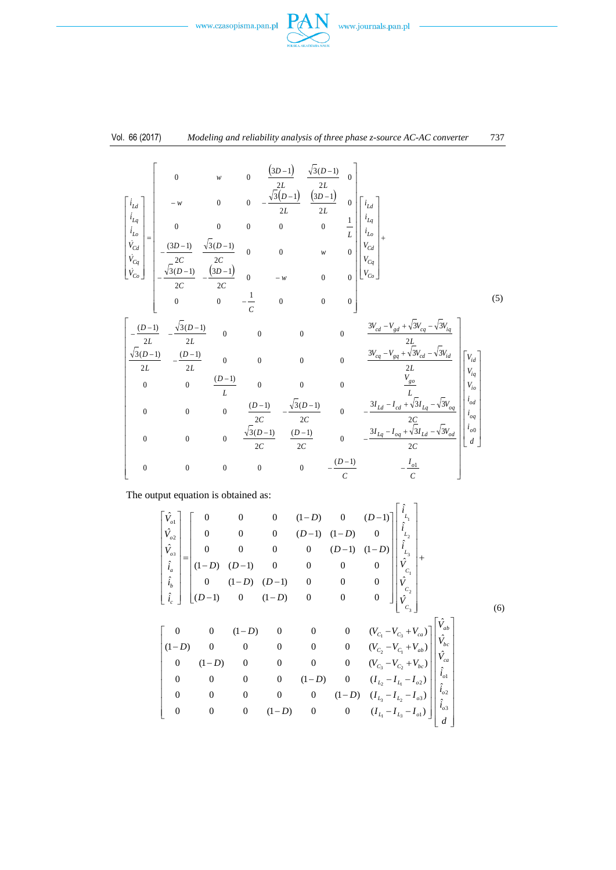



$$
\begin{bmatrix}\ni_{ld} \\
i_{ld} \\
i_{lq} \\
i_{lq} \\
i_{lq} \\
i_{lq} \\
i_{lq} \\
i_{lq} \\
i_{lq} \\
i_{lq} \\
i_{lq} \\
i_{lq} \\
i_{lq} \\
i_{lq} \\
i_{lq} \\
i_{lq} \\
i_{lq} \\
i_{lq} \\
i_{lq} \\
i_{lq} \\
i_{lq} \\
i_{lq} \\
i_{lq} \\
i_{lq} \\
i_{lq} \\
i_{lq} \\
i_{lq} \\
i_{lq} \\
i_{lq} \\
i_{lq} \\
i_{lq} \\
i_{lq} \\
i_{lq} \\
i_{lq} \\
i_{lq} \\
i_{lq} \\
i_{lq} \\
i_{lq} \\
i_{lq} \\
i_{lq} \\
i_{lq} \\
i_{lq} \\
i_{lq} \\
i_{lq} \\
i_{lq} \\
i_{lq} \\
i_{lq} \\
i_{lq} \\
i_{lq} \\
i_{lq} \\
i_{lq} \\
i_{lq} \\
i_{lq} \\
i_{lq} \\
i_{lq} \\
i_{lq} \\
i_{lq} \\
i_{lq} \\
i_{lq} \\
i_{lq} \\
i_{lq} \\
i_{lq} \\
i_{lq} \\
i_{lq} \\
i_{lq} \\
i_{lq} \\
i_{lq} \\
i_{lq} \\
i_{lq} \\
i_{lq} \\
i_{lq} \\
i_{lq} \\
i_{lq} \\
i_{lq} \\
i_{lq} \\
i_{lq} \\
i_{lq} \\
i_{lq} \\
i_{lq} \\
i_{lq} \\
i_{lq} \\
i_{lq} \\
i_{lq} \\
i_{lq} \\
i_{lq} \\
i_{lq} \\
i_{lq} \\
i_{lq} \\
i_{lq} \\
i_{lq} \\
i_{lq} \\
i_{lq} \\
i_{lq} \\
i_{lq} \\
i_{lq} \\
i_{lq} \\
i_{lq} \\
i_{lq} \\
i_{lq} \\
i_{lq} \\
i_{lq} \\
i_{lq} \\
i_{lq} \\
i_{lq} \\
i_{lq} \\
i_{lq} \\
i_{lq} \\
i_{lq} \\
i_{lq} \\
i_{lq} \\
i_{lq} \\
i_{lq} \\
i_{lq} \\
i_{lq} \\
i_{lq} \\
i_{lq} \\
i_{lq} \\
i_{lq} \\
i_{lq} \\
i_{lq} \\
i_{lq} \\
i_{lq} \\
i_{lq} \\
i_{lq} \\
i_{lq} \\
i_{lq} \\
$$

The output equation is obtained as:

$$
\begin{bmatrix}\n\hat{V}_{o1} \\
\hat{V}_{o2} \\
\hat{V}_{o3} \\
\hat{V}_{o3} \\
\hat{i}_a \\
\hat{i}_b\n\end{bmatrix} = \begin{bmatrix}\n0 & 0 & 0 & (1-D) & 0 & (D-1) \\
0 & 0 & (D-1) & (1-D) & 0 \\
0 & 0 & 0 & (D-1) & (1-D) & 0 \\
(1-D) & (D-1) & 0 & 0 & 0 & 0 \\
(1-D) & (D-1) & 0 & 0 & 0 & 0 \\
(1-D) & (D-1) & 0 & 0 & 0 & 0\n\end{bmatrix} \begin{bmatrix}\n\hat{i}_1 \\
\hat{i}_2 \\
\hat{i}_3 \\
\hat{i}_4 \\
\hat{i}_5 \\
\hat{i}_6\n\end{bmatrix} + \begin{bmatrix}\n0 & 0 & (1-D) & (D-1) & 0 & 0 & 0 \\
(1-D) & (D-1) & 0 & 0 & 0 & 0 \\
(1-D) & 0 & (1-D) & 0 & 0 & 0 \\
(1-D) & 0 & 0 & 0 & 0 & (V_{C_1} - V_{C_3} + V_{ca}) \\
(1-D) & 0 & 0 & 0 & 0 & (V_{C_2} - V_{C_1} + V_{ab}) \\
0 & (1-D) & 0 & 0 & 0 & (V_{C_3} - V_{C_2} + V_{bc}) \\
0 & 0 & 0 & 0 & (1-D) & 0 & (I_{L_2} - I_{L_1} - I_{a2}) \\
0 & 0 & 0 & 0 & (1-D) & 0 & (I_{L_3} - I_{L_2} - I_{a3}) \\
0 & 0 & 0 & (1-D) & 0 & 0 & (I_{L_1} - I_{L_3} - I_{a1})\n\end{bmatrix} \begin{bmatrix}\n\hat{i}_1 \\
\hat{i}_2 \\
\hat{i}_3 \\
\hat{i}_4 \\
\hat{i}_5 \\
\hat{i}_6 \\
\hat{i}_7 \\
\hat{i}_8 \\
\hat{i}_9 \\
\hat{i}_1 \\
\hat{i}_2 \\
\hat{i}_3 \\
\hat{i}_4 \\
\hat{i}_5 \\
\hat{i}_6 \\
\hat{i}_7 \\
\hat{i}_8 \\
\hat{i}_9 \\
\hat{i}_1 \\
\hat{i}_2 \\
\hat{i}_3 \\
\hat{i}_4 \\
\hat{i}_5 \\
\hat{i}_6 \\
\hat{i}_7 \\
\hat{i}_8 \\
\hat{i}_9 \\
\hat{i}_1 \\
\hat{i}_2 \\
\hat{i}_3 \\
\hat
$$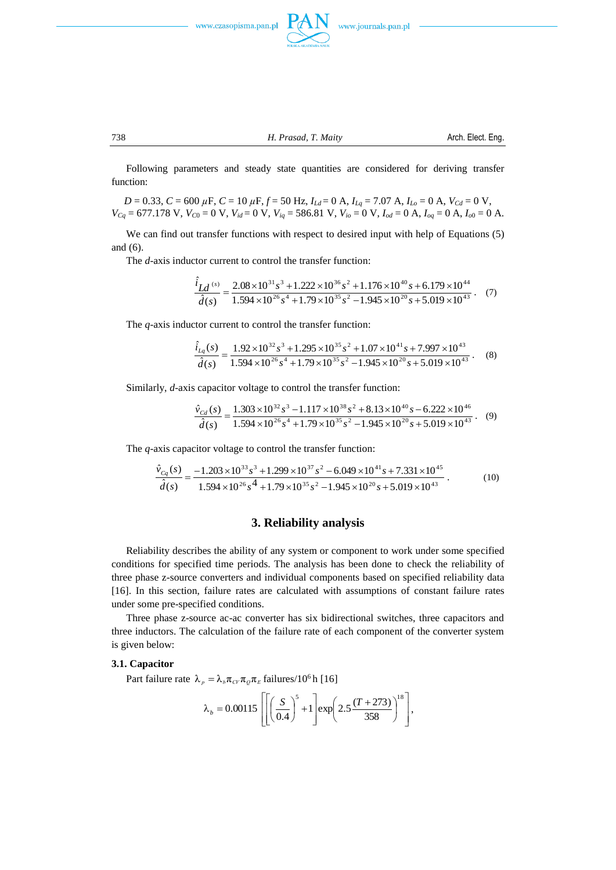

738 *H. Prasad, T. Maity* Arch. Elect. Eng.

Following parameters and steady state quantities are considered for deriving transfer function:

*D* = 0.33, *C* = 600 *µ*F, *C* = 10 *µ*F, *f* = 50 Hz, *ILd* = 0 A, *ILq* = 7.07 A, *ILo* = 0 A, *VCd* = 0 V,  $V_{Cq}$  = 677.178 V,  $V_{C0}$  = 0 V,  $V_{id}$  = 0 V,  $V_{iq}$  = 586.81 V,  $V_{io}$  = 0 V,  $I_{od}$  = 0 A,  $I_{oq}$  = 0 A,  $I_{o0}$  = 0 A.

We can find out transfer functions with respect to desired input with help of Equations (5) and (6).

The *d*-axis inductor current to control the transfer function:

$$
\frac{\hat{i}_{Ld}^{(s)}}{\hat{d}(s)} = \frac{2.08 \times 10^{31} s^3 + 1.222 \times 10^{36} s^2 + 1.176 \times 10^{40} s + 6.179 \times 10^{44}}{1.594 \times 10^{26} s^4 + 1.79 \times 10^{35} s^2 - 1.945 \times 10^{20} s + 5.019 \times 10^{43}}.
$$
 (7)

The *q*-axis inductor current to control the transfer function:

$$
\frac{\hat{i}_{Lq}(s)}{\hat{d}(s)} = \frac{1.92 \times 10^{32} s^3 + 1.295 \times 10^{35} s^2 + 1.07 \times 10^{41} s + 7.997 \times 10^{43}}{1.594 \times 10^{26} s^4 + 1.79 \times 10^{35} s^2 - 1.945 \times 10^{26} s + 5.019 \times 10^{43}}.
$$
 (8)

Similarly, *d*-axis capacitor voltage to control the transfer function:

$$
\frac{\hat{v}_{Cd}(s)}{\hat{d}(s)} = \frac{1.303 \times 10^{32} s^3 - 1.117 \times 10^{38} s^2 + 8.13 \times 10^{40} s - 6.222 \times 10^{46}}{1.594 \times 10^{26} s^4 + 1.79 \times 10^{35} s^2 - 1.945 \times 10^{20} s + 5.019 \times 10^{43}}.
$$
 (9)

The *q*-axis capacitor voltage to control the transfer function:

$$
\frac{\hat{v}_{Cq}(s)}{\hat{d}(s)} = \frac{-1.203 \times 10^{33} s^3 + 1.299 \times 10^{37} s^2 - 6.049 \times 10^{41} s + 7.331 \times 10^{45}}{1.594 \times 10^{26} s^4 + 1.79 \times 10^{35} s^2 - 1.945 \times 10^{20} s + 5.019 \times 10^{43}}
$$
\n(10)

#### **3. Reliability analysis**

Reliability describes the ability of any system or component to work under some specified conditions for specified time periods. The analysis has been done to check the reliability of three phase z-source converters and individual components based on specified reliability data [16]. In this section, failure rates are calculated with assumptions of constant failure rates under some pre-specified conditions.

Three phase z-source ac-ac converter has six bidirectional switches, three capacitors and three inductors. The calculation of the failure rate of each component of the converter system is given below:

#### **3.1. Capacitor**

Part failure rate  $\lambda_p = \lambda_b \pi_{CV} \pi_p \pi_E$  failures/10<sup>6</sup> h [16]

$$
\lambda_b = 0.00115 \left[ \left[ \left( \frac{S}{0.4} \right)^5 + 1 \right] \exp \left( 2.5 \frac{(T + 273)}{358} \right)^{18} \right],
$$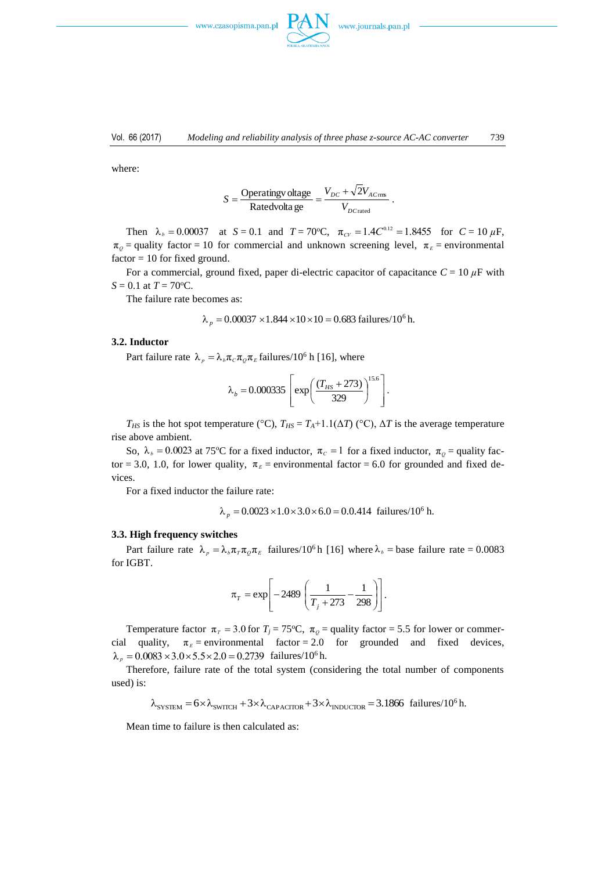

where:

$$
S = \frac{\text{Operatingv } \text{oltage}}{\text{Rate} \text{dv} \text{of} \text{age}} = \frac{V_{DC} + \sqrt{2}V_{AC \text{rms}}}{V_{DC \text{rad}}}.
$$

Then  $\lambda_b = 0.00037$  at  $S = 0.1$  and  $T = 70^{\circ}\text{C}$ ,  $\pi_{CV} = 1.4 C^{0.12} = 1.8455$  for  $C = 10 \mu\text{F}$ ,  $\pi$ <sub>*Q*</sub> = quality factor = 10 for commercial and unknown screening level,  $\pi$ <sub>*E*</sub> = environmental  $factor = 10$  for fixed ground.

For a commercial, ground fixed, paper di-electric capacitor of capacitance  $C = 10 \mu$ F with  $S = 0.1$  at  $T = 70$ <sup>o</sup>C.

The failure rate becomes as:

$$
\lambda_p = 0.00037 \times 1.844 \times 10 \times 10 = 0.683
$$
 failures/10<sup>6</sup> h.

#### **3.2. Inductor**

Part failure rate  $\lambda_p = \lambda_b \pi_c \pi_p \pi_E$  failures/10<sup>6</sup> h [16], where

$$
\lambda_b = 0.000335 \left[ exp \left( \frac{(T_{HS} + 273)}{329} \right)^{15.6} \right].
$$

*T<sub>HS</sub>* is the hot spot temperature (°C),  $T_{HS} = T_A + 1.1(\Delta T)$  (°C),  $\Delta T$  is the average temperature rise above ambient.

So,  $\lambda_b = 0.0023$  at 75°C for a fixed inductor,  $\pi_c = 1$  for a fixed inductor,  $\pi_\rho =$  quality factor = 3.0, 1.0, for lower quality,  $\pi_E$  = environmental factor = 6.0 for grounded and fixed devices.

For a fixed inductor the failure rate:

$$
\lambda_p = 0.0023 \times 1.0 \times 3.0 \times 6.0 = 0.0.414
$$
 failures/10<sup>6</sup> h.

#### **3.3. High frequency switches**

Part failure rate  $\lambda_p = \lambda_b \pi_r \pi_q \pi_E$  failures/10<sup>6</sup>h [16] where  $\lambda_b$  = base failure rate = 0.0083 for IGBT.

$$
\pi_T = \exp\left[-2489\left(\frac{1}{T_j + 273} - \frac{1}{298}\right)\right].
$$

Temperature factor  $\pi$ <sub>*T*</sub> = 3.0 for *T<sub>j</sub>* = 75°C,  $\pi$ <sub>*Q*</sub> = quality factor = 5.5 for lower or commercial quality,  $\pi_E$  = environmental factor = 2.0 for grounded and fixed devices,  $\lambda_p = 0.0083 \times 3.0 \times 5.5 \times 2.0 = 0.2739$  failures/10<sup>6</sup> h.

Therefore, failure rate of the total system (considering the total number of components used) is:

$$
\lambda_{\text{SYSTEM}} = 6 \times \lambda_{\text{SWITCH}} + 3 \times \lambda_{\text{CAPACTTOR}} + 3 \times \lambda_{\text{INDUCTOR}} = 3.1866 \text{ failures}/10^6 \text{ h}.
$$

Mean time to failure is then calculated as: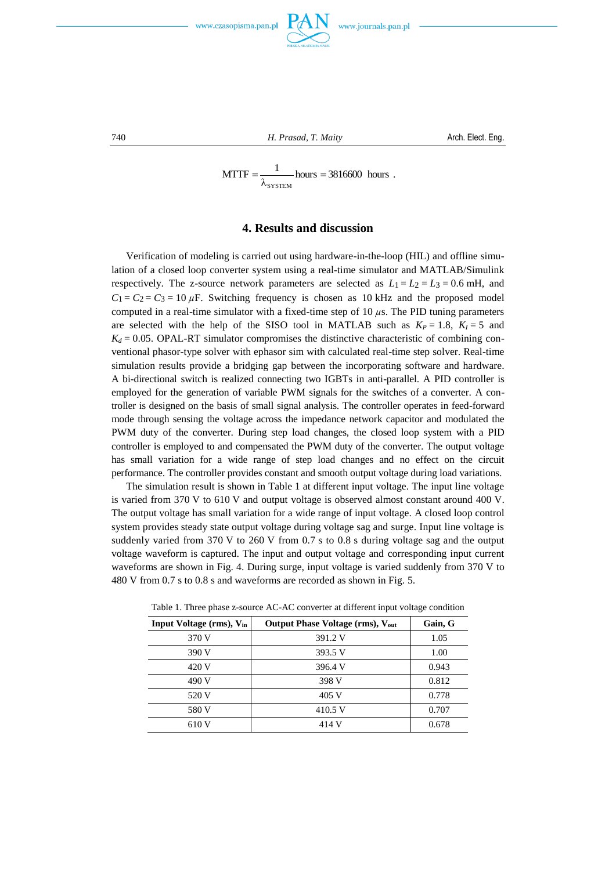

740 *H. Prasad, T. Maity* Arch. Elect. Eng.

$$
MTTF = \frac{1}{\lambda_{\text{SYSTEM}}} \text{hours} = 3816600 \text{ hours} .
$$

#### **4. Results and discussion**

Verification of modeling is carried out using hardware-in-the-loop (HIL) and offline simulation of a closed loop converter system using a real-time simulator and MATLAB/Simulink respectively. The z-source network parameters are selected as  $L_1 = L_2 = L_3 = 0.6$  mH, and  $C_1 = C_2 = C_3 = 10 \,\mu\text{F}$ . Switching frequency is chosen as 10 kHz and the proposed model computed in a real-time simulator with a fixed-time step of 10 *µ*s. The PID tuning parameters are selected with the help of the SISO tool in MATLAB such as  $K_P = 1.8$ ,  $K_I = 5$  and  $K_d = 0.05$ . OPAL-RT simulator compromises the distinctive characteristic of combining conventional phasor-type solver with ephasor sim with calculated real-time step solver. Real-time simulation results provide a bridging gap between the incorporating software and hardware. A bi-directional switch is realized connecting two IGBTs in anti-parallel. A PID controller is employed for the generation of variable PWM signals for the switches of a converter. A controller is designed on the basis of small signal analysis. The controller operates in feed-forward mode through sensing the voltage across the impedance network capacitor and modulated the PWM duty of the converter. During step load changes, the closed loop system with a PID controller is employed to and compensated the PWM duty of the converter. The output voltage has small variation for a wide range of step load changes and no effect on the circuit performance. The controller provides constant and smooth output voltage during load variations.

The simulation result is shown in Table 1 at different input voltage. The input line voltage is varied from 370 V to 610 V and output voltage is observed almost constant around 400 V. The output voltage has small variation for a wide range of input voltage. A closed loop control system provides steady state output voltage during voltage sag and surge. Input line voltage is suddenly varied from 370 V to 260 V from 0.7 s to 0.8 s during voltage sag and the output voltage waveform is captured. The input and output voltage and corresponding input current waveforms are shown in Fig. 4. During surge, input voltage is varied suddenly from 370 V to 480 V from 0.7 s to 0.8 s and waveforms are recorded as shown in Fig. 5.

| Input Voltage (rms), V <sub>in</sub> | <b>Output Phase Voltage (rms), Vout</b> | Gain, G |
|--------------------------------------|-----------------------------------------|---------|
| 370 V                                | 391.2 V                                 | 1.05    |
| 390 V                                | 393.5 V                                 | 1.00    |
| 420 V                                | 396.4 V                                 | 0.943   |
| 490 V                                | 398 V                                   | 0.812   |
| 520 V                                | 405 V                                   | 0.778   |
| 580 V                                | 410.5 V                                 | 0.707   |
| 610 V                                | 414 V                                   | 0.678   |

Table 1. Three phase z-source AC-AC converter at different input voltage condition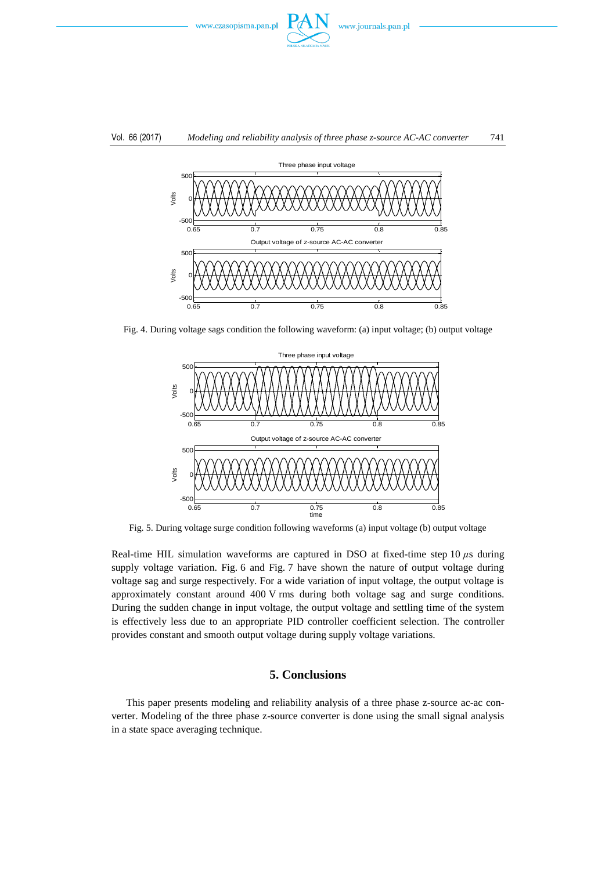

#### Vol. 66 (2017) *Modeling and reliability analysis of three phase z-source AC-AC converter* 741



Fig. 4. During voltage sags condition the following waveform: (a) input voltage; (b) output voltage



Fig. 5. During voltage surge condition following waveforms (a) input voltage (b) output voltage

Real-time HIL simulation waveforms are captured in DSO at fixed-time step 10  $\mu$ s during supply voltage variation. Fig. 6 and Fig. 7 have shown the nature of output voltage during voltage sag and surge respectively. For a wide variation of input voltage, the output voltage is approximately constant around 400 V rms during both voltage sag and surge conditions. During the sudden change in input voltage, the output voltage and settling time of the system is effectively less due to an appropriate PID controller coefficient selection. The controller provides constant and smooth output voltage during supply voltage variations.

## **5. Conclusions**

This paper presents modeling and reliability analysis of a three phase z-source ac-ac converter. Modeling of the three phase z-source converter is done using the small signal analysis in a state space averaging technique.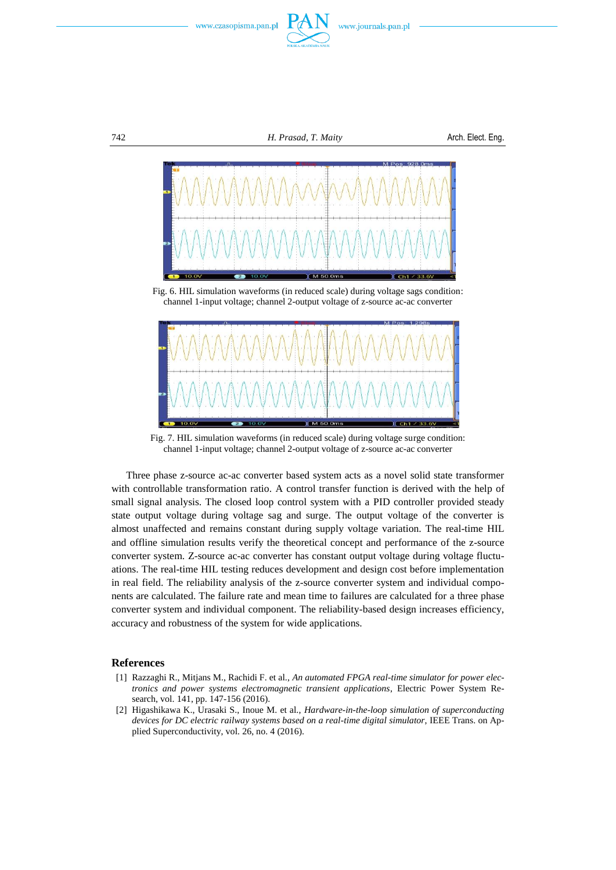





Fig. 6. HIL simulation waveforms (in reduced scale) during voltage sags condition: channel 1-input voltage; channel 2-output voltage of z-source ac-ac converter



Fig. 7. HIL simulation waveforms (in reduced scale) during voltage surge condition: channel 1-input voltage; channel 2-output voltage of z-source ac-ac converter

Three phase z-source ac-ac converter based system acts as a novel solid state transformer with controllable transformation ratio. A control transfer function is derived with the help of small signal analysis. The closed loop control system with a PID controller provided steady state output voltage during voltage sag and surge. The output voltage of the converter is almost unaffected and remains constant during supply voltage variation. The real-time HIL and offline simulation results verify the theoretical concept and performance of the z-source converter system. Z-source ac-ac converter has constant output voltage during voltage fluctuations. The real-time HIL testing reduces development and design cost before implementation in real field. The reliability analysis of the z-source converter system and individual components are calculated. The failure rate and mean time to failures are calculated for a three phase converter system and individual component. The reliability-based design increases efficiency, accuracy and robustness of the system for wide applications.

#### **References**

- [1] Razzaghi R., Mitjans M., Rachidi F. et al., *An automated FPGA real-time simulator for power electronics and power systems electromagnetic transient applications*, Electric Power System Research, vol. 141, pp. 147-156 (2016).
- [2] Higashikawa K., Urasaki S., Inoue M. et al., *Hardware-in-the-loop simulation of superconducting devices for DC electric railway systems based on a real-time digital simulator*, IEEE Trans. on Applied Superconductivity, vol. 26, no. 4 (2016).